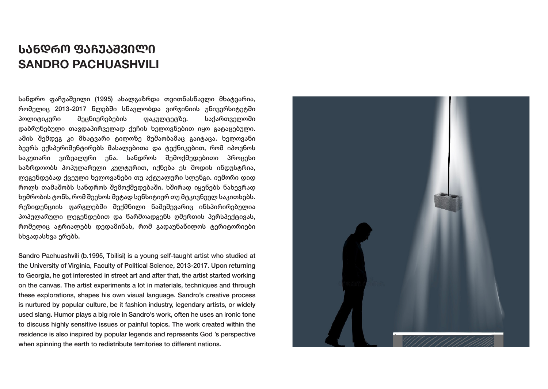# **ᲡᲐᲜᲓᲠᲝ ᲤᲐᲩᲣᲐᲨᲕᲘᲚᲘ SANDRO PACHUASHVILI**

სანდრო ფაჩუაშვილი (1995) ახალგაზრდა თვითნასწავლი მხატვარია, რომელიც 2013-2017 წლებში სწავლობდა ვირჯინიის უნივერსიტეტში პოლიტიკური მეცნიერებების ფაკულტეტზე. საქართველოში დაბრუნებული თავდაპირველად ქუჩის ხელოვნებით იყო გატაცებული. ამის შემდეგ კი მხატვარი ტილოზე მუშაობამაც გაიტაცა. ხელოვანი ბევრს ექსპერიმენტირებს მასალებითა და ტექნიკებით, რომ იპოვნოს საკუთარი ვიზუალური ენა. სანდროს შემოქმედებითი პროცესი საზრდოობს პოპულარული კულტურით, იქნება ეს მოდის ინდუსტრია, ლეგენდებად ქცეული ხელოვანები თუ აქტუალური სლენგი. იუმორი დიდ როლს თამაშობს სანდროს შემოქმედებაში. ხშირად იყენებს ნახევრად ხუმრობის ტონს, რომ შეეხოს მეტად სენსიტიურ თუ მტკივნეულ საკითხებს. რეზიდენციის ფარგლებში შექმნილი ნამუშევარიც ინსპირირებულია პოპულარული ლეგენდებით და წარმოადგენს ღმერთის პერსპექტივას, რომელიც ატრიალებს დედამიწას, რომ გადაუნაწილოს ტერიტორიები სხვადასხვა ერებს.

Sandro Pachuashvili (b.1995, Tbilisi) is a young self-taught artist who studied at the University of Virginia, Faculty of Political Science, 2013-2017. Upon returning to Georgia, he got interested in street art and after that, the artist started working on the canvas. The artist experiments a lot in materials, techniques and through these explorations, shapes his own visual language. Sandro's creative process is nurtured by popular culture, be it fashion industry, legendary artists, or widely used slang. Humor plays a big role in Sandro's work, often he uses an ironic tone to discuss highly sensitive issues or painful topics. The work created within the residence is also inspired by popular legends and represents God 's perspective when spinning the earth to redistribute territories to different nations.

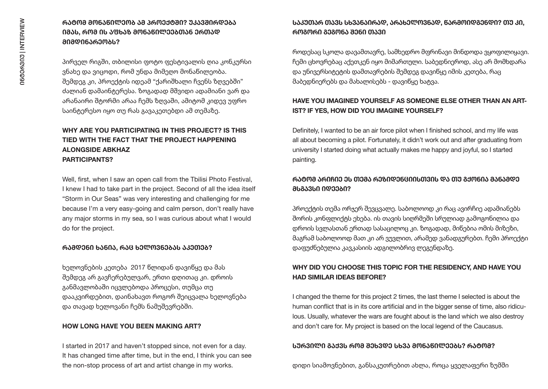## **ᲠᲐᲢᲝᲛ ᲛᲝᲜᲐᲬᲘᲚᲔᲝᲑ ᲐᲛ ᲞᲠᲝᲔᲥᲢᲨᲘ? ᲣᲙᲐᲕᲨᲘᲠᲓᲔᲑᲐ ᲘᲛᲐᲡ, ᲠᲝᲛ ᲘᲡ ᲐᲤᲮᲐᲖ ᲛᲝᲜᲐᲬᲘᲚᲔᲔᲑᲗᲐᲜ ᲔᲠᲗᲐᲓ ᲛᲘᲛᲓᲘᲜᲐᲠᲔᲝᲑᲡ?**

პირველ რიგში, თბილისი ფოტო ფესტივალის ღია კონკურსი ვნახე და ვიცოდი, რომ უნდა მიმეღო მონაწილეობა. შემდეგ კი, პროექტის იდეამ "ქარიშხალი ჩვენს ზღვებში" ძალიან დამაინტერესა. ზოგადად მშვიდი ადამიანი ვარ და არანაირი შტორმი არაა ჩემს ზღვაში, ამიტომ კიდევ უფრო საინტერესო იყო თუ რას გავაკეთებდი ამ თემაზე.

# **WHY ARE YOU PARTICIPATING IN THIS PROJECT? IS THIS TIED WITH THE FACT THAT THE PROJECT HAPPENING ALONGSIDE ABKHAZ PARTICIPANTS?**

Well, first, when I saw an open call from the Tbilisi Photo Festival, I knew I had to take part in the project. Second of all the idea itself "Storm in Our Seas" was very interesting and challenging for me because I'm a very easy-going and calm person, don't really have any major storms in my sea, so I was curious about what I would do for the project.

#### **ᲠᲐᲛᲓᲔᲜᲘ ᲮᲐᲜᲘᲐ, ᲠᲐᲪ ᲮᲔᲚᲝᲕᲜᲔᲑᲐᲡ ᲐᲙᲔᲗᲔᲑ?**

ხელოვნების კეთება 2017 წლიდან დავიწყე და მას შემდეგ არ გავჩერებულვარ, ერთი დღითაც კი. დროის განმავლობაში იცვლებოდა პროცესი, თუმცა თუ დააკვირდებით, დაინახავთ როგორ შეიცვალა ხელოვნება და თავად ხელოვანი ჩემს ნამუშევრებში.

#### **HOW LONG HAVE YOU BEEN MAKING ART?**

I started in 2017 and haven't stopped since, not even for a day. It has changed time after time, but in the end, I think you can see the non-stop process of art and artist change in my works.

# **ᲡᲐᲙᲣᲗᲐᲠ ᲗᲐᲕᲡ ᲡᲮᲕᲐᲜᲐᲘᲠᲐᲓ, ᲐᲠᲐᲮᲔᲚᲝᲕᲜᲐᲓ, ᲬᲐᲠᲛᲝᲘᲓᲒᲔᲜᲓᲘ? ᲗᲣ ᲙᲘ, ᲠᲝᲒᲝᲠᲘ ᲒᲔᲒᲝᲜᲐ ᲨᲔᲜᲘ ᲗᲐᲕᲘ**

როდესაც სკოლა დავამთავრე, სამხედრო მფრინავი მინდოდა ვყოფილიყავი. ჩემი ცხოვრებაც აქეთკენ იყო მიმართული. საბედნიეროდ, ასე არ მომხდარა და უნივერსიტეტის დამთავრების შემდეგ დავიწყე იმის კეთება, რაც მაბედნიერებს და მახალისებს - დავიწყე ხატვა.

## **HAVE YOU IMAGINED YOURSELF AS SOMEONE ELSE OTHER THAN AN ART-IST? IF YES, HOW DID YOU IMAGINE YOURSELF?**

Definitely, I wanted to be an air force pilot when I finished school, and my life was all about becoming a pilot. Fortunately, it didn't work out and after graduating from university I started doing what actually makes me happy and joyful, so I started painting.

## **ᲠᲐᲢᲝᲛ ᲐᲠᲘᲩᲘᲔ ᲔᲡ ᲗᲔᲛᲐ ᲠᲔᲖᲘᲓᲔᲜᲪᲘᲘᲡᲗᲕᲘᲡ ᲓᲐ ᲗᲣ ᲒᲥᲝᲜᲘᲐ ᲛᲐᲜᲐᲛᲓᲔ ᲛᲡᲒᲐᲕᲡᲘ ᲘᲓᲔᲔᲑᲘ?**

პროექტის თემა ორჯერ შევცვალე. საბოლოოდ კი რაც ავირჩიე ადამიანებს შორის კონფლიქტს ეხება. ის თავის სიღრმეში სრულიად გამოგონილია და დროის სვლასთან ერთად სასაცილოც კი. ზოგადად, მიწებია ომის მიზეზი, მაგრამ საბოლოოდ მათ კი არ ვუვლით, არამედ ვანადგურებთ. ჩემი პროექტი დაფუძნებულია კავკასიის ადგილობრივ ლეგენდაზე.

## **WHY DID YOU CHOOSE THIS TOPIC FOR THE RESIDENCY, AND HAVE YOU HAD SIMILAR IDEAS BEFORE?**

I changed the theme for this project 2 times, the last theme I selected is about the human conflict that is in its core artificial and in the bigger sense of time, also ridiculous. Usually, whatever the wars are fought about is the land which we also destroy and don't care for. My project is based on the local legend of the Caucasus.

#### **ᲡᲣᲠᲕᲘᲚᲘ ᲒᲐᲥᲕᲡ ᲠᲝᲛ ᲨᲔᲮᲕᲓᲔ ᲡᲮᲕᲐ ᲛᲝᲜᲐᲬᲘᲚᲔᲔᲑᲡ? ᲠᲐᲢᲝᲛ?**

დიდი სიამოვნებით, განსაკუთრებით ახლა, როცა ყველაფერი ზუმში